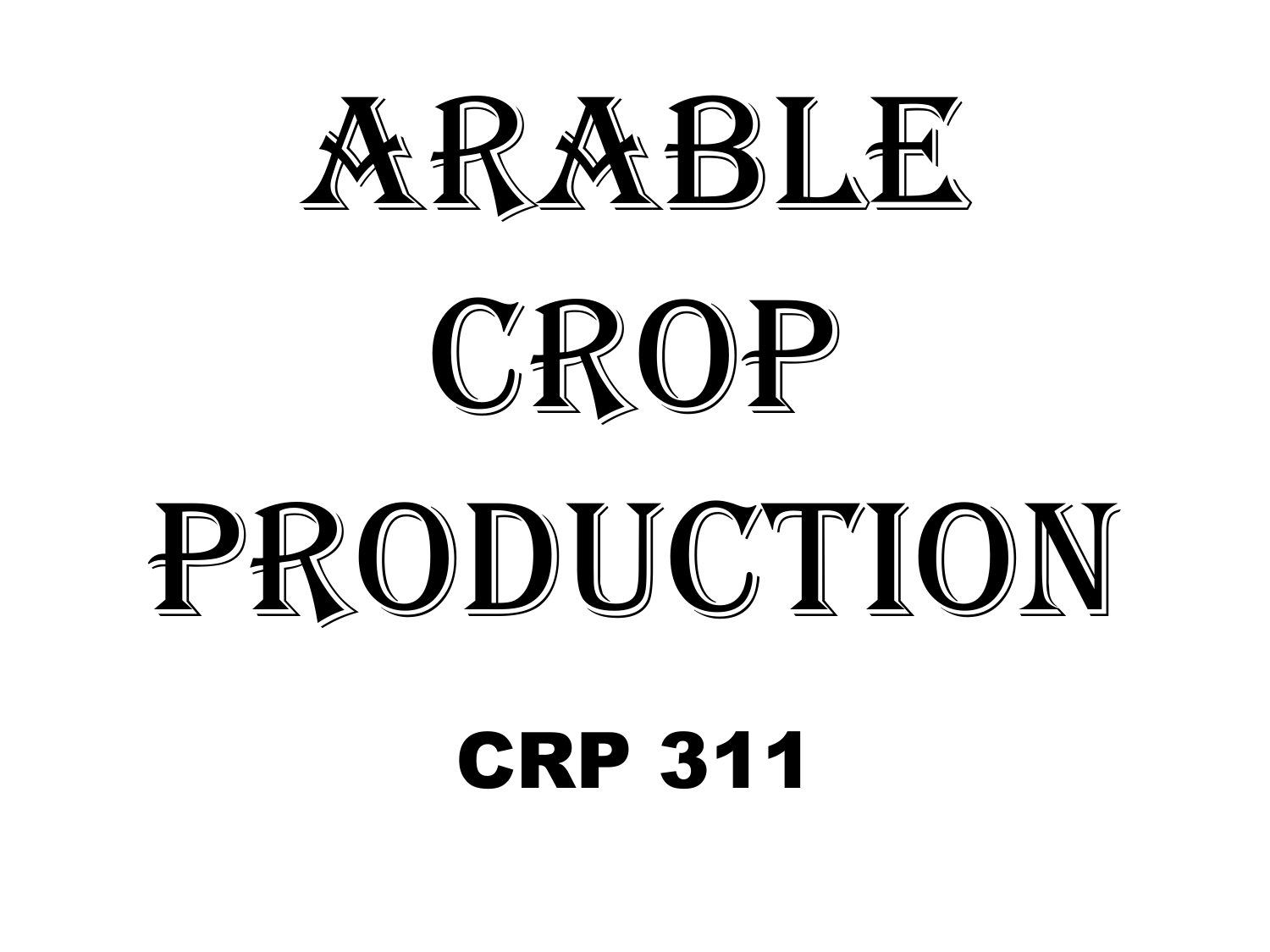# ARABLE



# PRODUCTION

CRP 311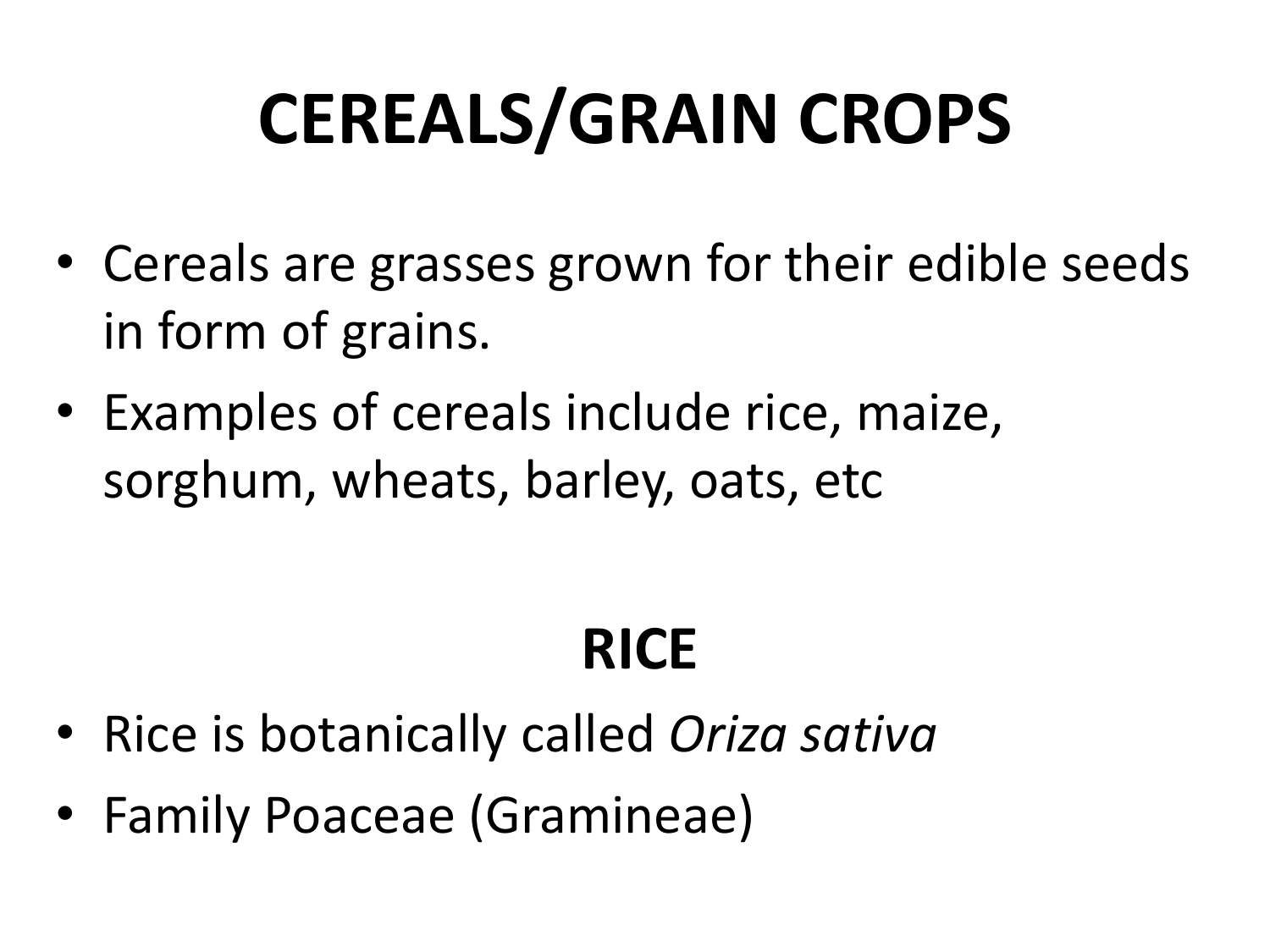# **CEREALS/GRAIN CROPS**

- Cereals are grasses grown for their edible seeds in form of grains.
- Examples of cereals include rice, maize, sorghum, wheats, barley, oats, etc

#### **RICE**

- Rice is botanically called *Oriza sativa*
- Family Poaceae (Gramineae)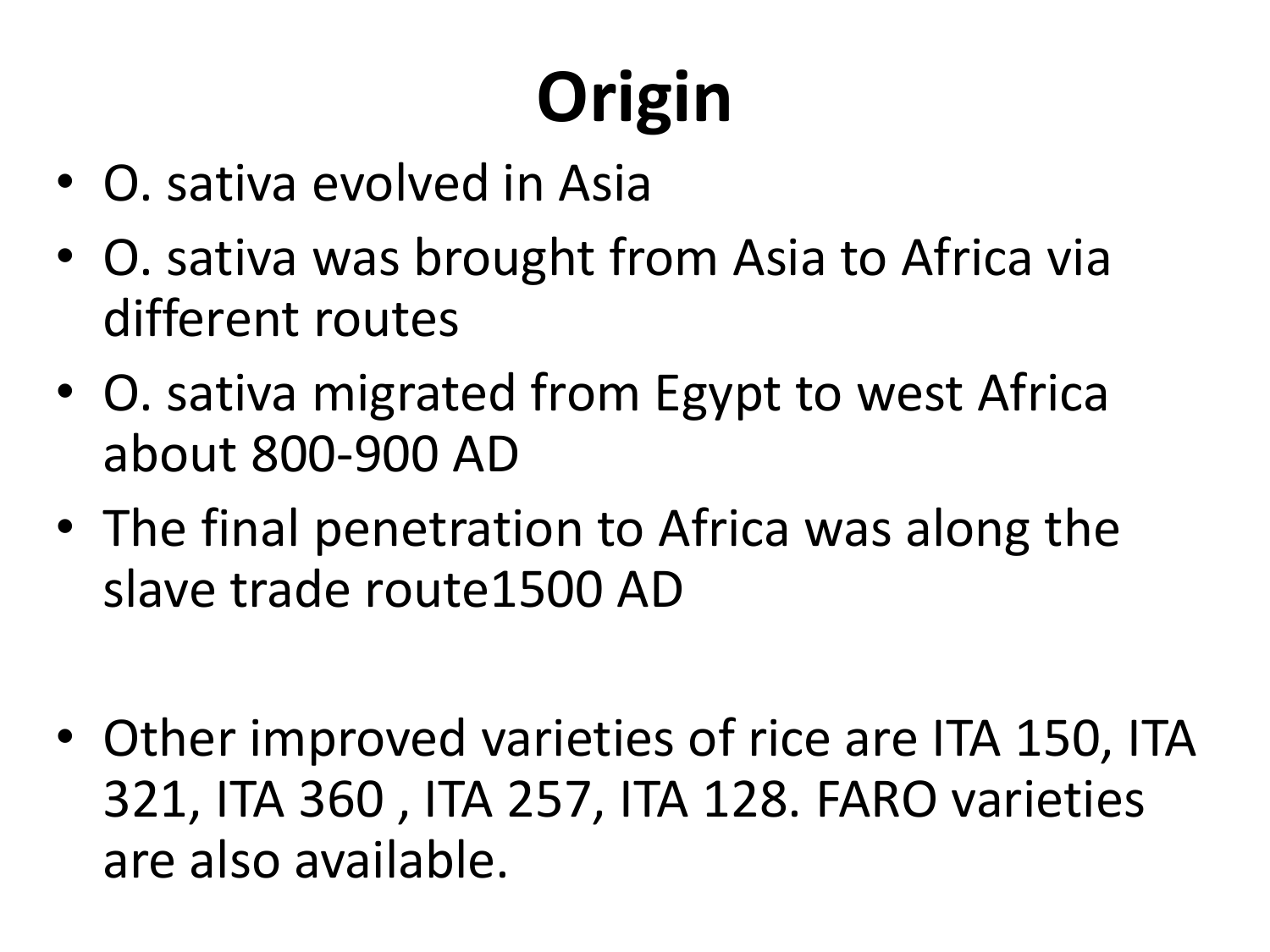# **Origin**

- O. sativa evolved in Asia
- O. sativa was brought from Asia to Africa via different routes
- O. sativa migrated from Egypt to west Africa about 800-900 AD
- The final penetration to Africa was along the slave trade route1500 AD
- Other improved varieties of rice are ITA 150, ITA 321, ITA 360 , ITA 257, ITA 128. FARO varieties are also available.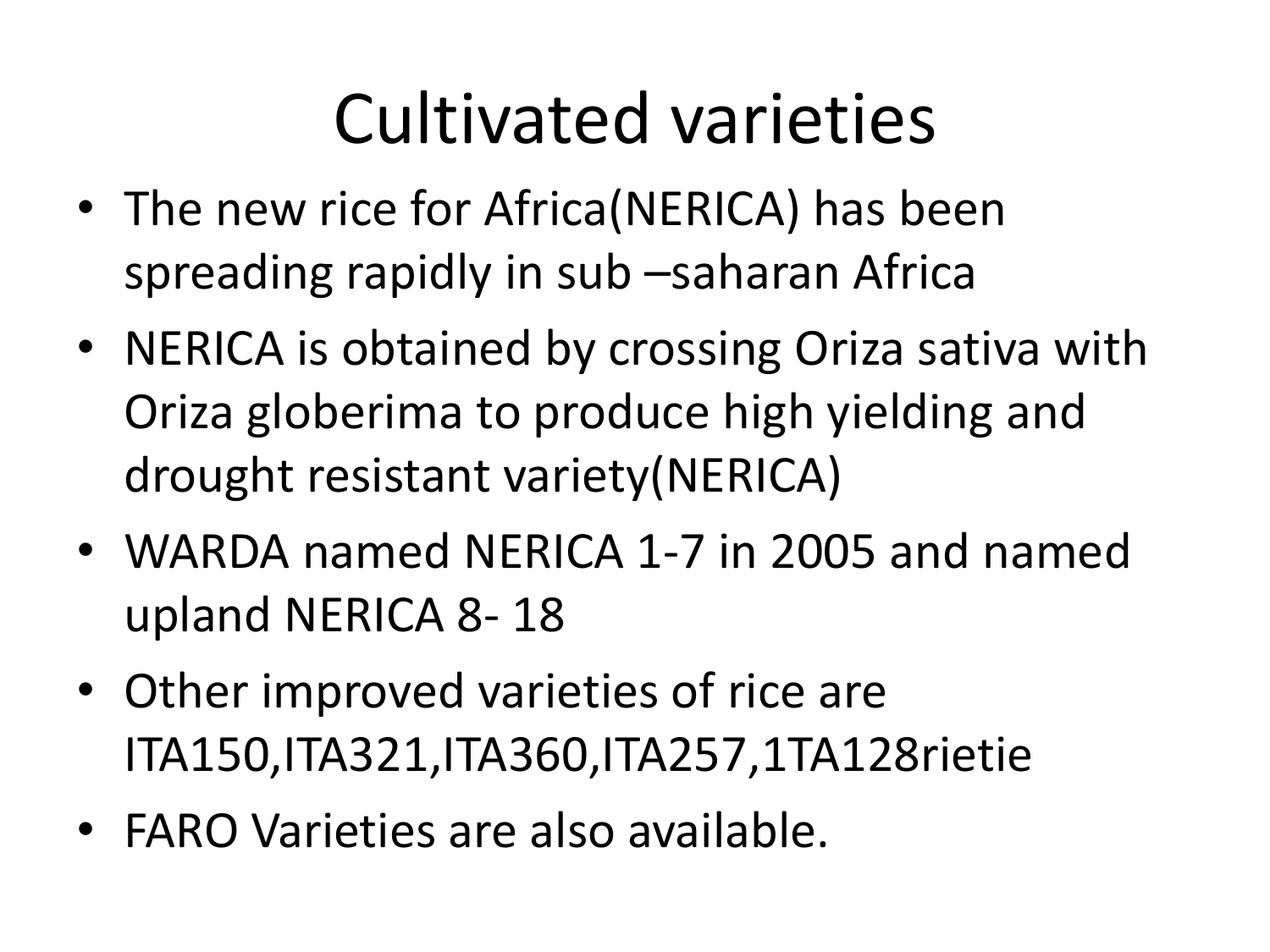#### Cultivated varieties

- The new rice for Africa(NERICA) has been spreading rapidly in sub –saharan Africa
- NERICA is obtained by crossing Oriza sativa with Oriza globerima to produce high yielding and drought resistant variety(NERICA)
- WARDA named NERICA 1-7 in 2005 and named upland NERICA 8- 18
- Other improved varieties of rice are ITA150,ITA321,ITA360,ITA257,1TA128rietie
- FARO Varieties are also available.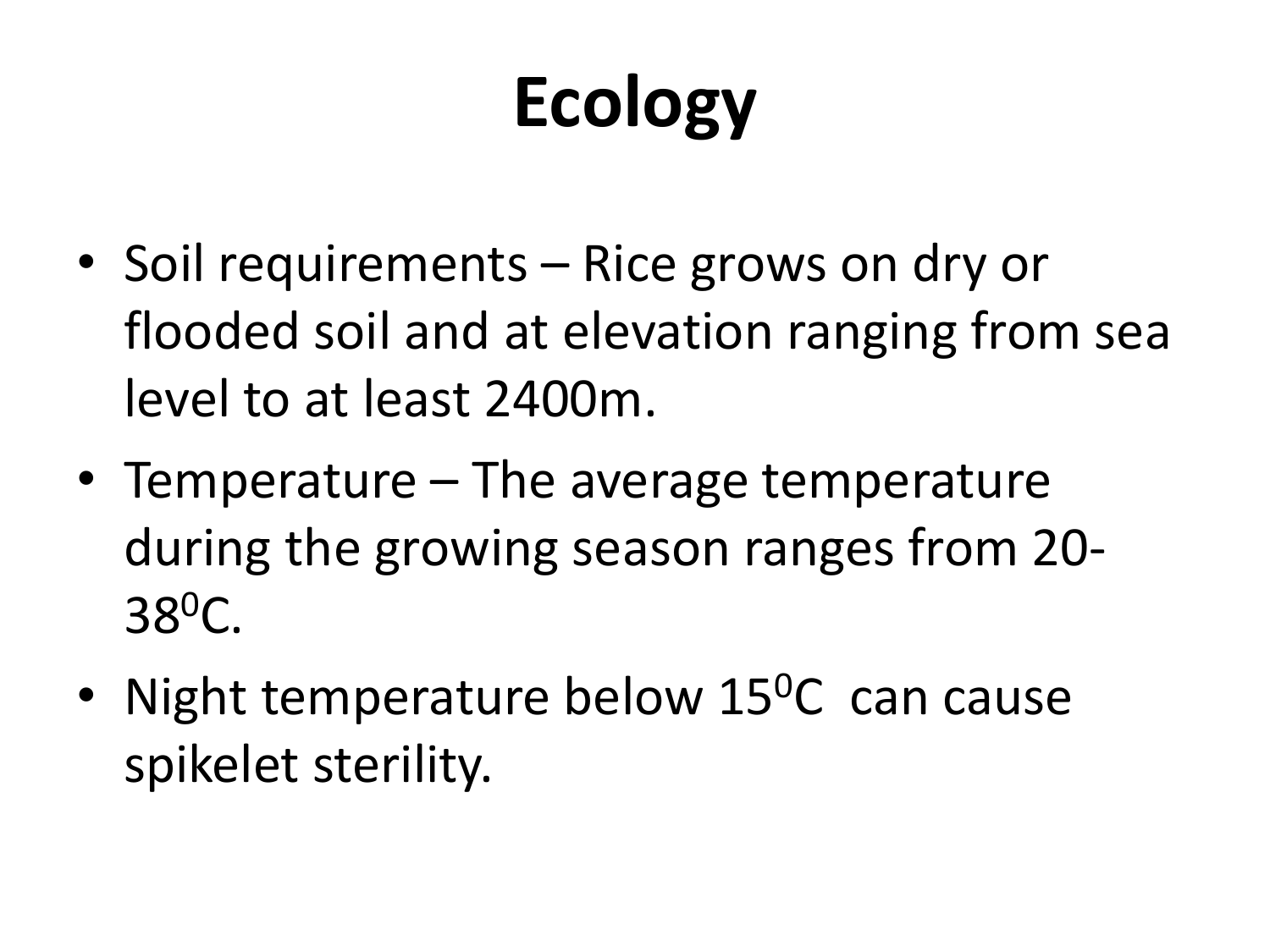# **Ecology**

- Soil requirements Rice grows on dry or flooded soil and at elevation ranging from sea level to at least 2400m.
- Temperature The average temperature during the growing season ranges from 20- 38<sup>0</sup>C.
- Night temperature below  $15^{\circ}$ C can cause spikelet sterility.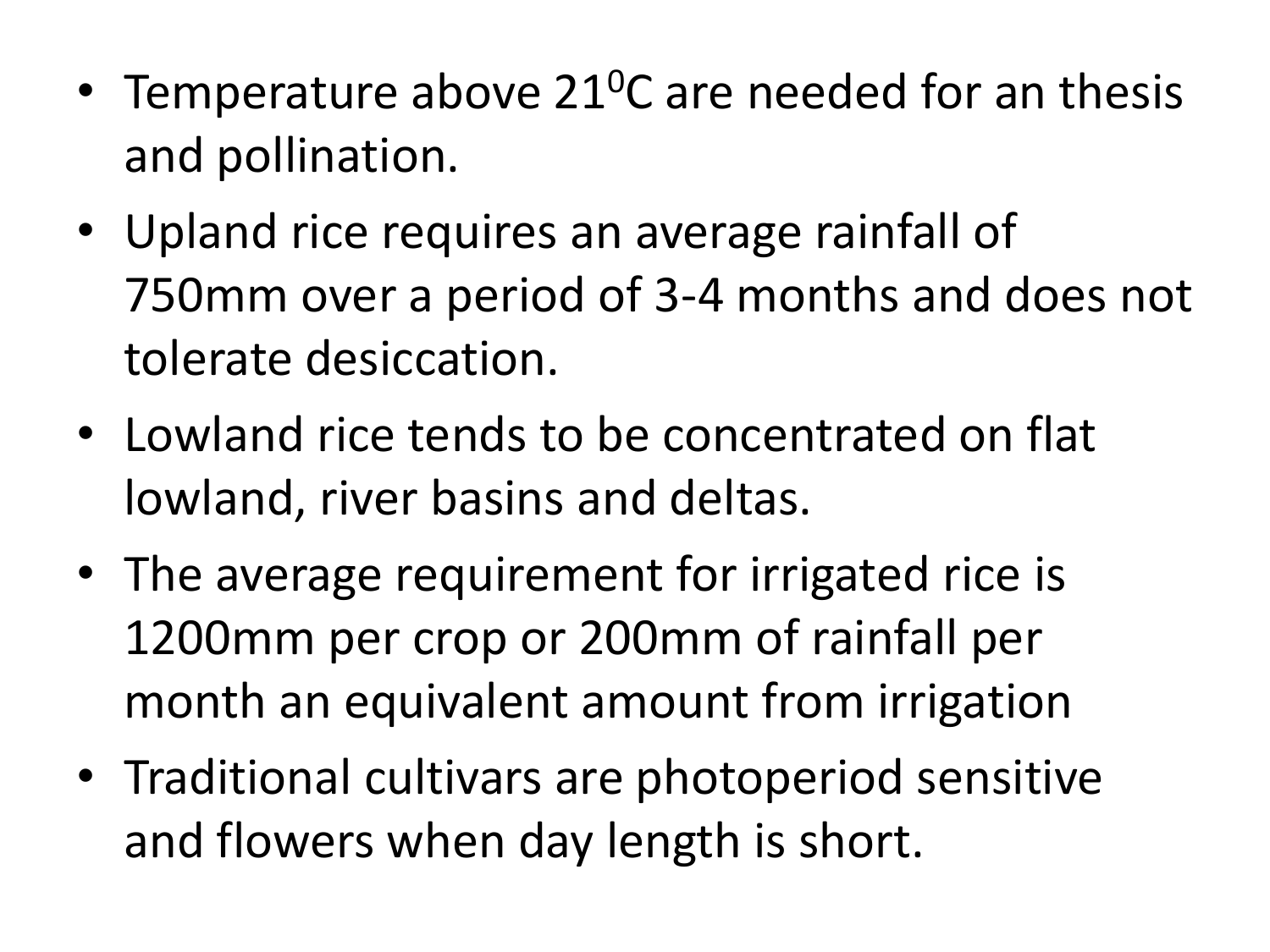- Temperature above 21<sup>o</sup>C are needed for an thesis and pollination.
- Upland rice requires an average rainfall of 750mm over a period of 3-4 months and does not tolerate desiccation.
- Lowland rice tends to be concentrated on flat lowland, river basins and deltas.
- The average requirement for irrigated rice is 1200mm per crop or 200mm of rainfall per month an equivalent amount from irrigation
- Traditional cultivars are photoperiod sensitive and flowers when day length is short.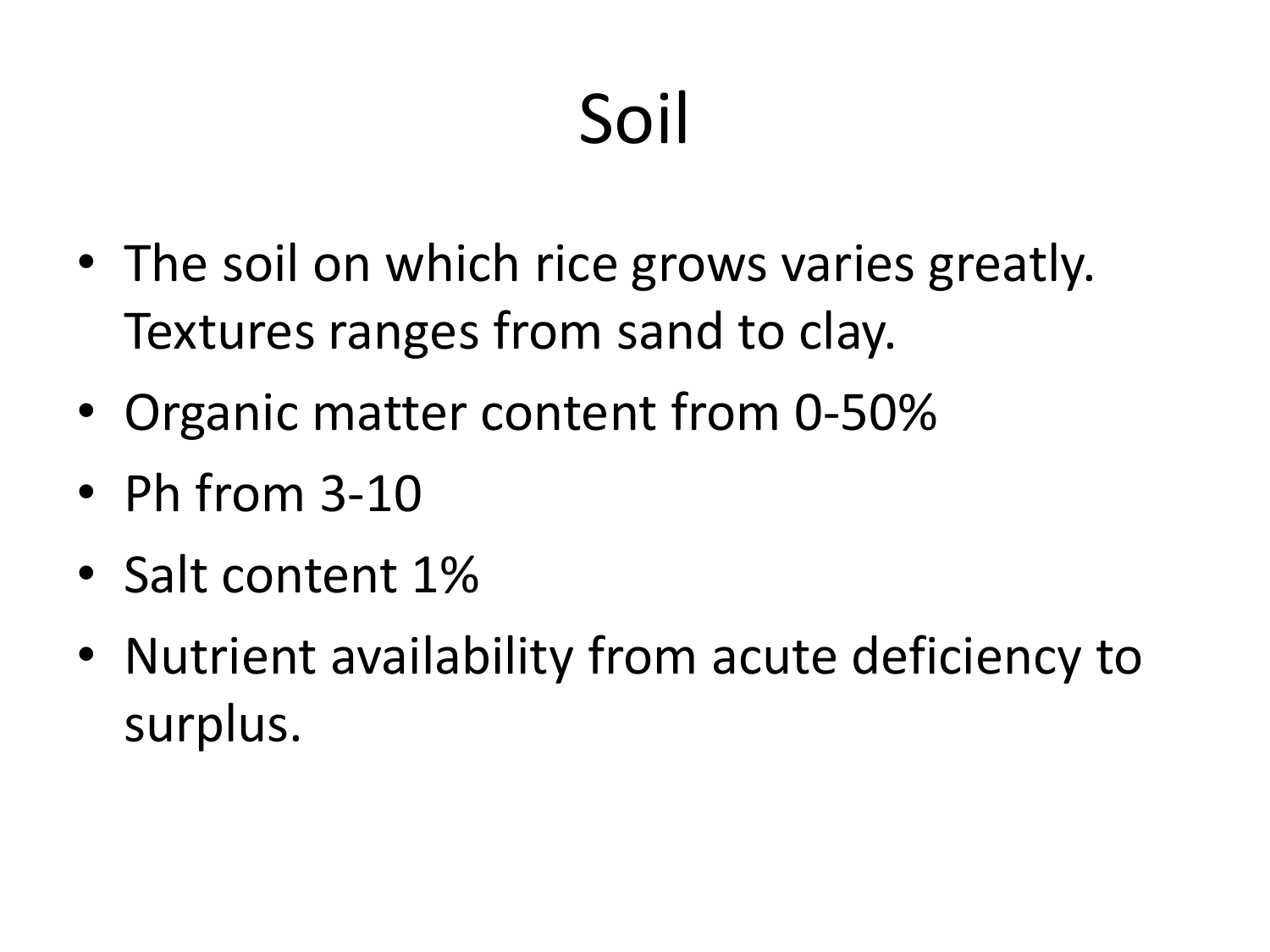# Soil

- The soil on which rice grows varies greatly. Textures ranges from sand to clay.
- Organic matter content from 0-50%
- Ph from 3-10
- Salt content 1%
- Nutrient availability from acute deficiency to surplus.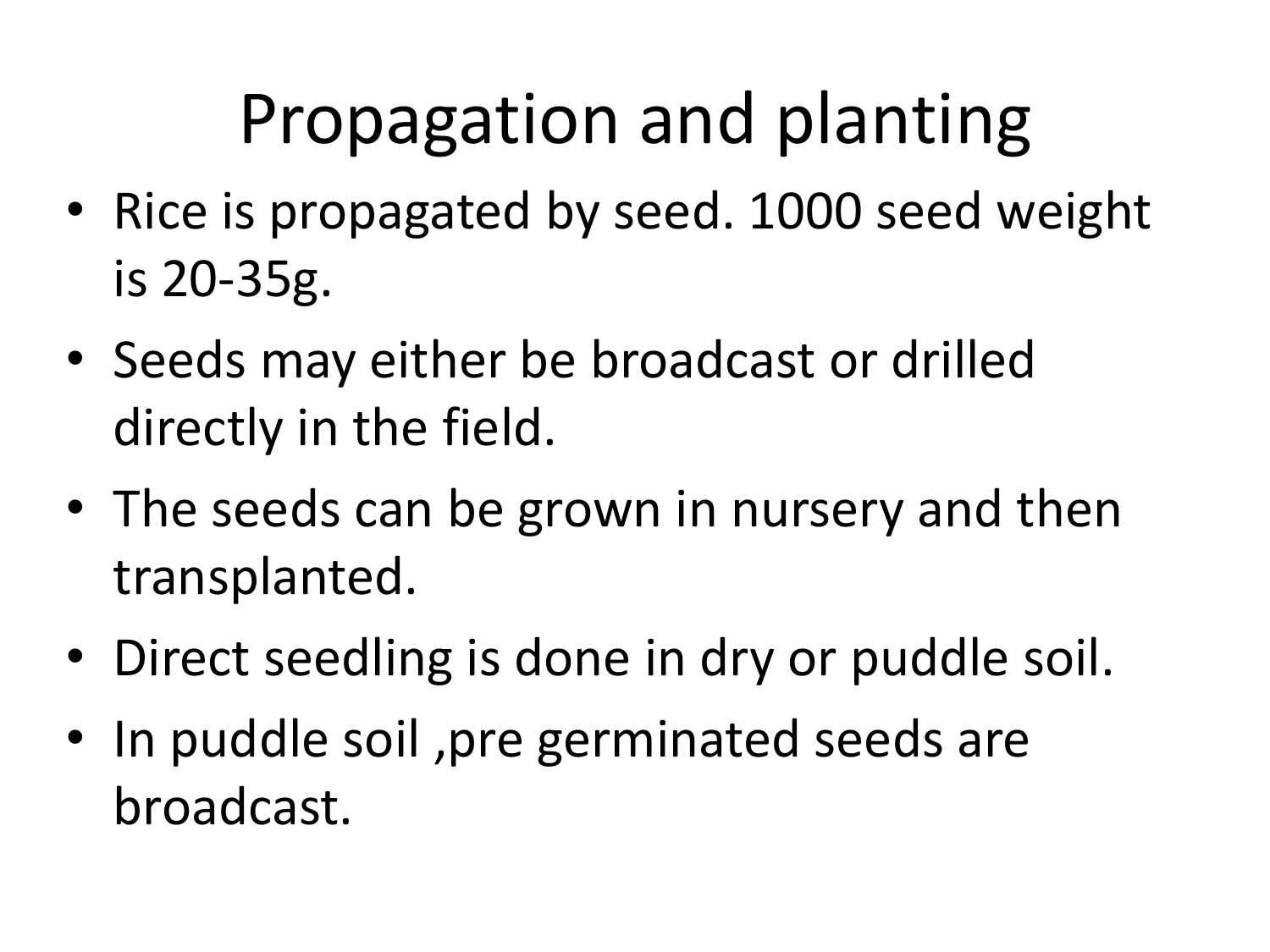### Propagation and planting

- Rice is propagated by seed. 1000 seed weight is 20-35g.
- Seeds may either be broadcast or drilled directly in the field.
- The seeds can be grown in nursery and then transplanted.
- Direct seedling is done in dry or puddle soil.
- In puddle soil, pre germinated seeds are broadcast.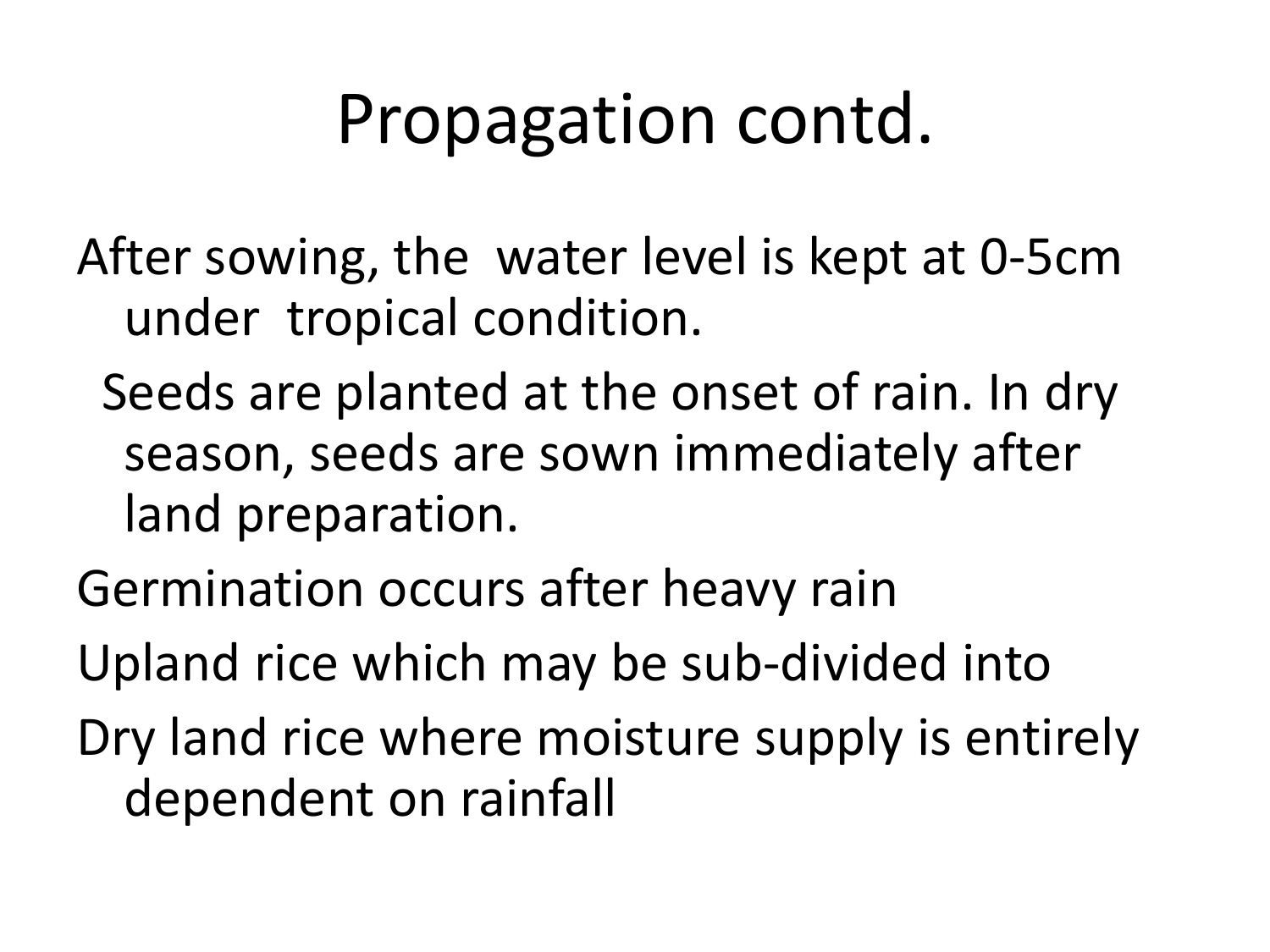#### Propagation contd.

After sowing, the water level is kept at 0-5cm under tropical condition.

- Seeds are planted at the onset of rain. In dry season, seeds are sown immediately after land preparation.
- Germination occurs after heavy rain
- Upland rice which may be sub-divided into
- Dry land rice where moisture supply is entirely dependent on rainfall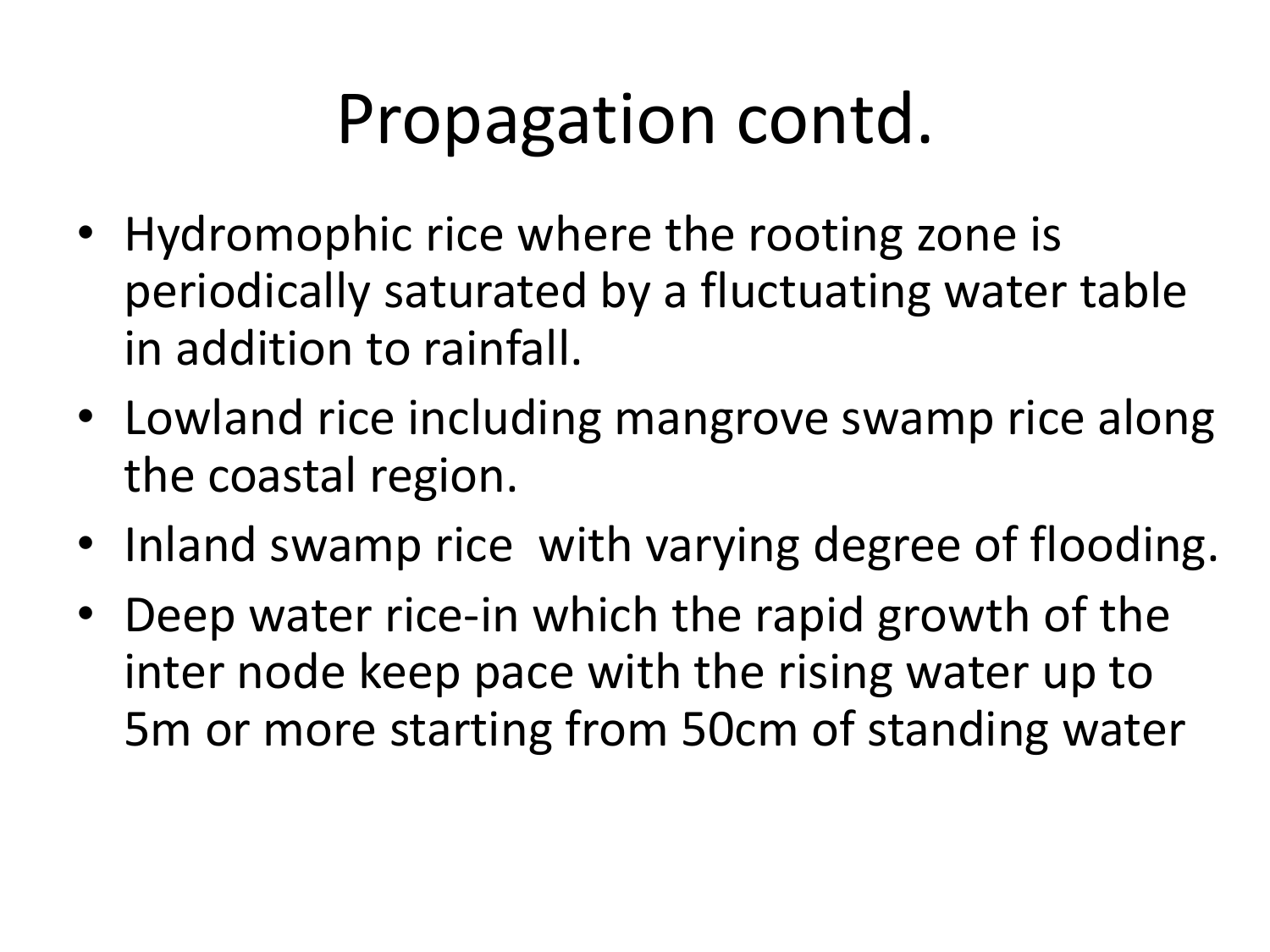#### Propagation contd.

- Hydromophic rice where the rooting zone is periodically saturated by a fluctuating water table in addition to rainfall.
- Lowland rice including mangrove swamp rice along the coastal region.
- Inland swamp rice with varying degree of flooding.
- Deep water rice-in which the rapid growth of the inter node keep pace with the rising water up to 5m or more starting from 50cm of standing water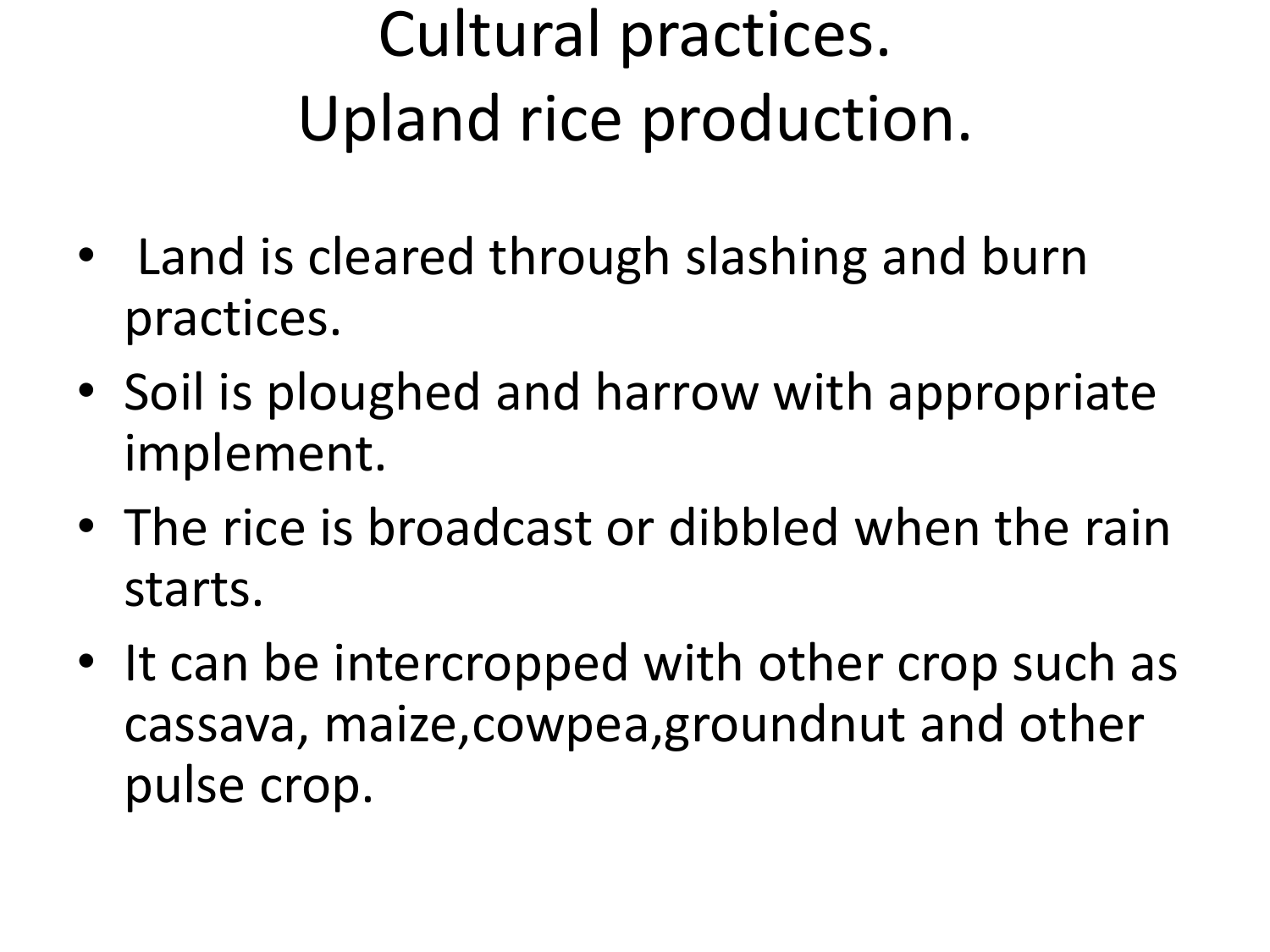#### Cultural practices. Upland rice production.

- Land is cleared through slashing and burn practices.
- Soil is ploughed and harrow with appropriate implement.
- The rice is broadcast or dibbled when the rain starts.
- It can be intercropped with other crop such as cassava, maize,cowpea,groundnut and other pulse crop.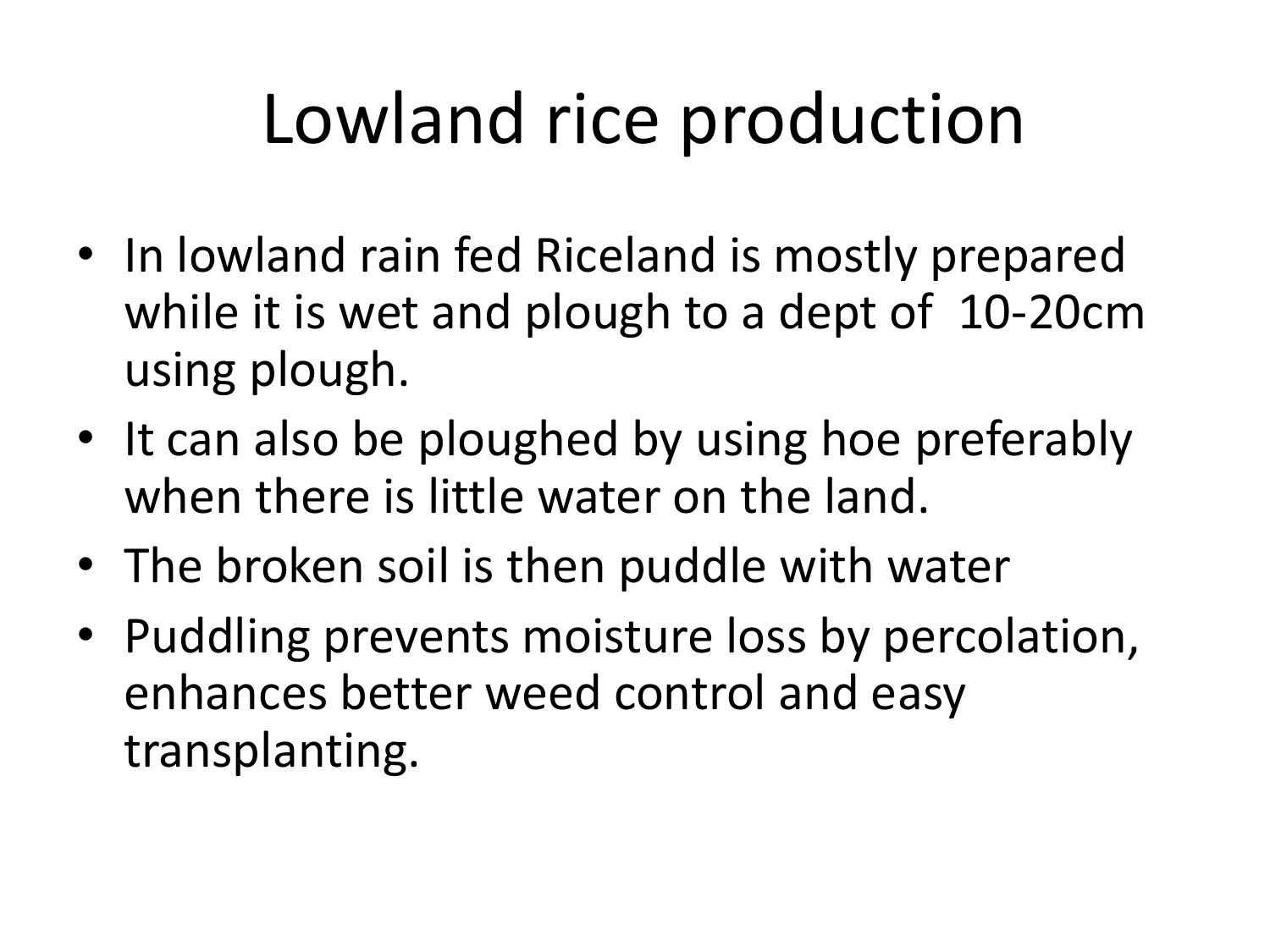#### Lowland rice production

- In lowland rain fed Riceland is mostly prepared while it is wet and plough to a dept of 10-20cm using plough.
- It can also be ploughed by using hoe preferably when there is little water on the land.
- The broken soil is then puddle with water
- Puddling prevents moisture loss by percolation, enhances better weed control and easy transplanting.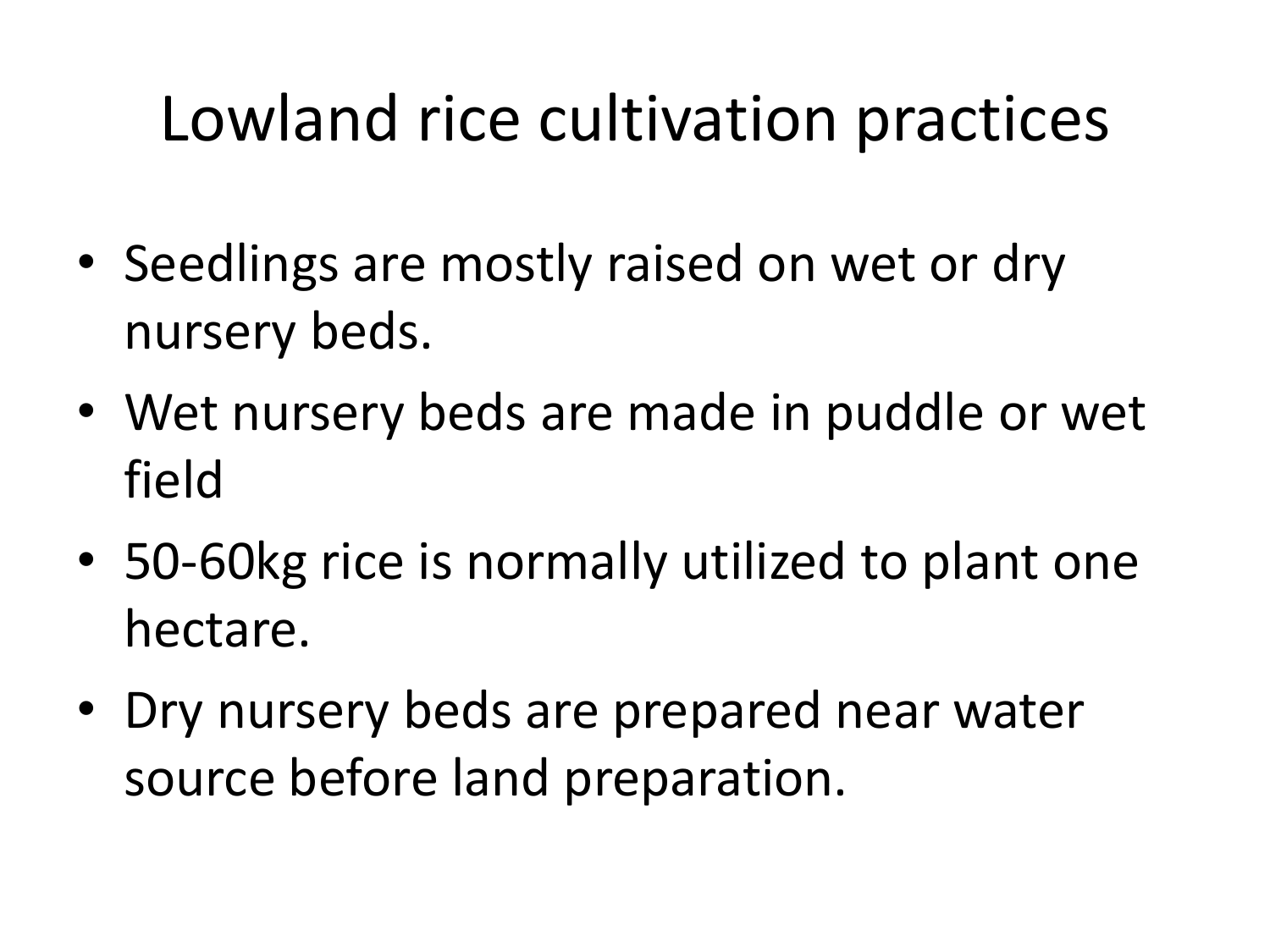#### Lowland rice cultivation practices

- Seedlings are mostly raised on wet or dry nursery beds.
- Wet nursery beds are made in puddle or wet field
- 50-60kg rice is normally utilized to plant one hectare.
- Dry nursery beds are prepared near water source before land preparation.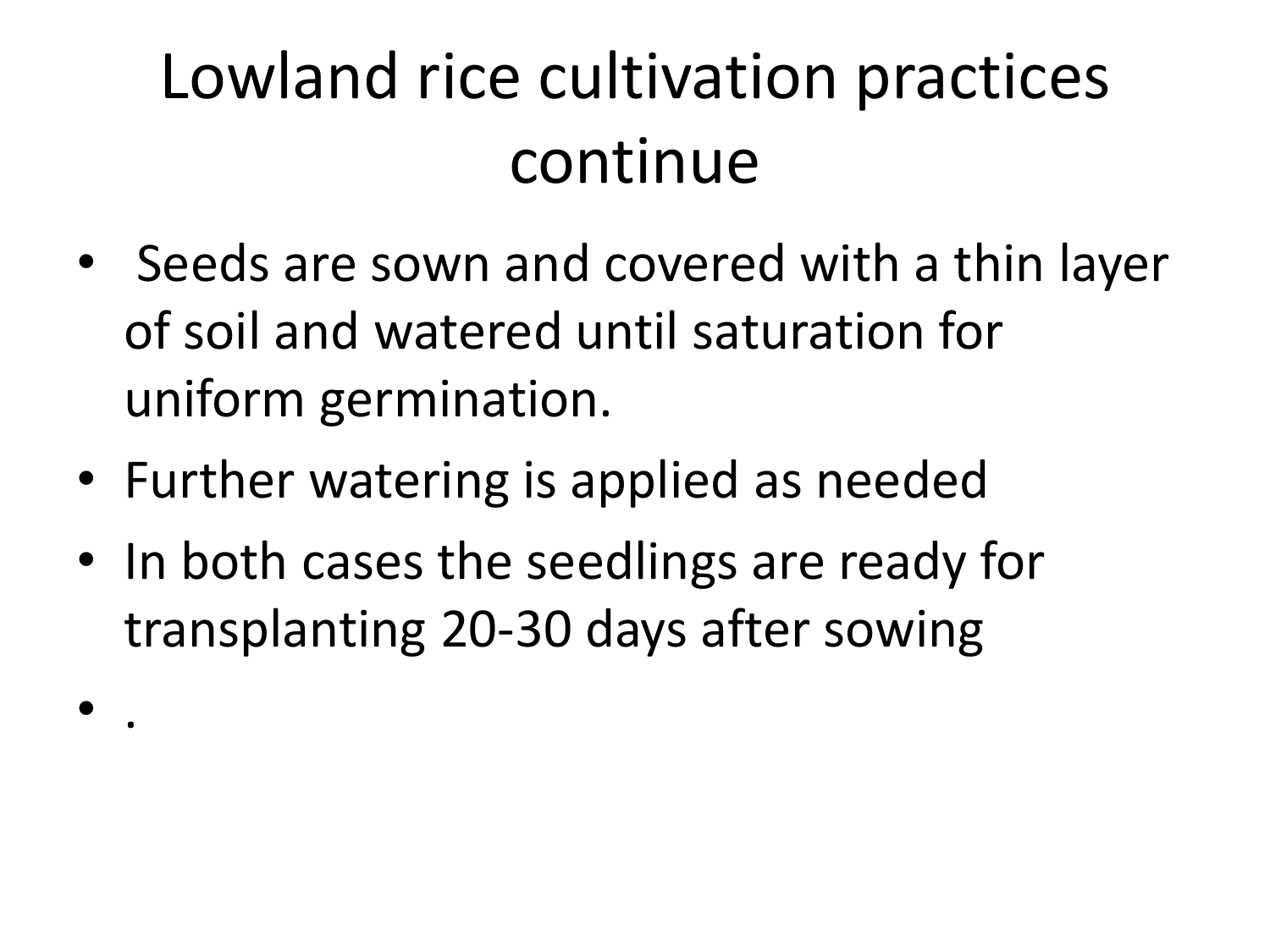#### Lowland rice cultivation practices continue

- Seeds are sown and covered with a thin layer of soil and watered until saturation for uniform germination.
- Further watering is applied as needed

• .

• In both cases the seedlings are ready for transplanting 20-30 days after sowing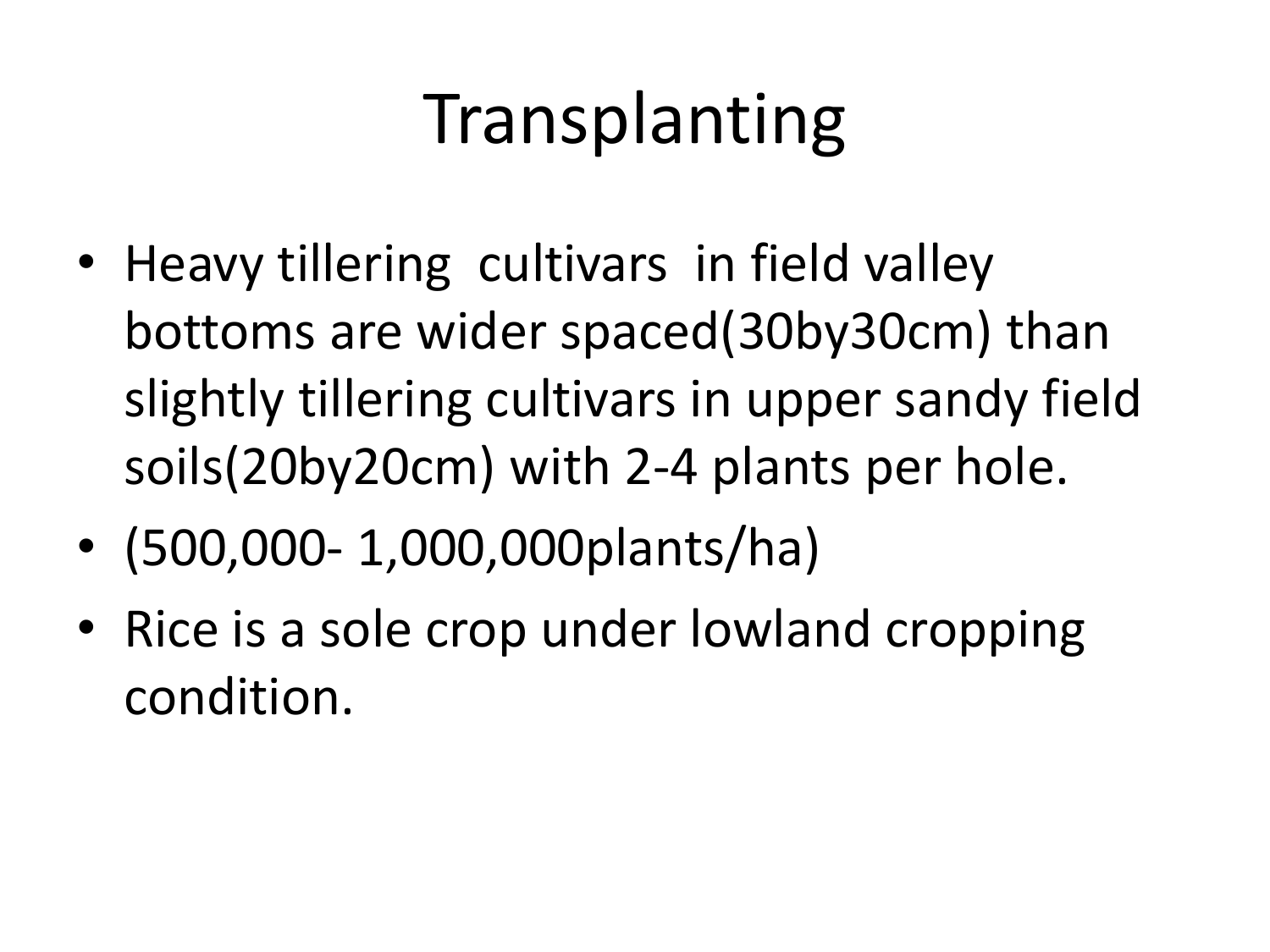### Transplanting

- Heavy tillering cultivars in field valley bottoms are wider spaced(30by30cm) than slightly tillering cultivars in upper sandy field soils(20by20cm) with 2-4 plants per hole.
- (500,000- 1,000,000plants/ha)
- Rice is a sole crop under lowland cropping condition.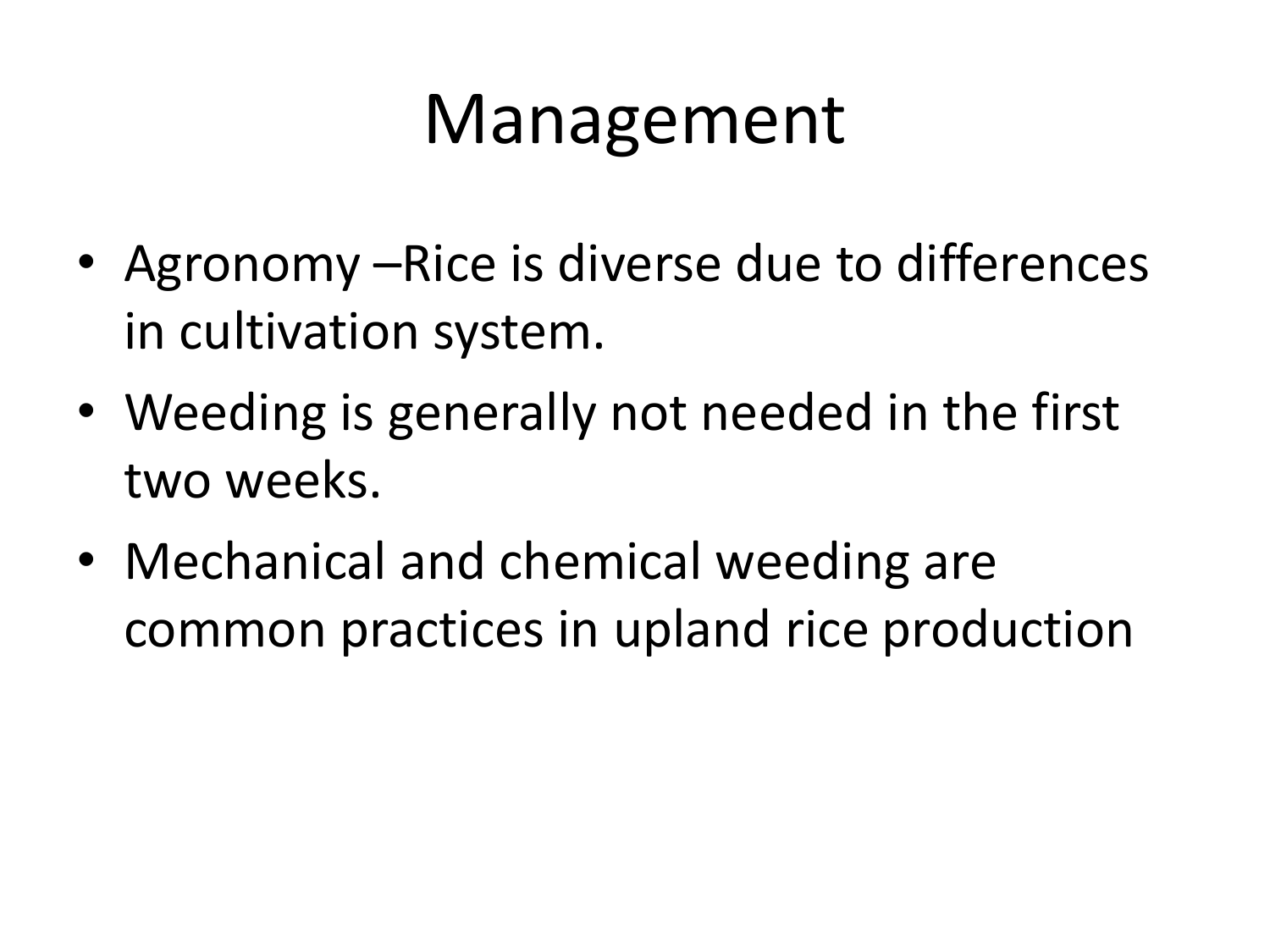#### Management

- Agronomy –Rice is diverse due to differences in cultivation system.
- Weeding is generally not needed in the first two weeks.
- Mechanical and chemical weeding are common practices in upland rice production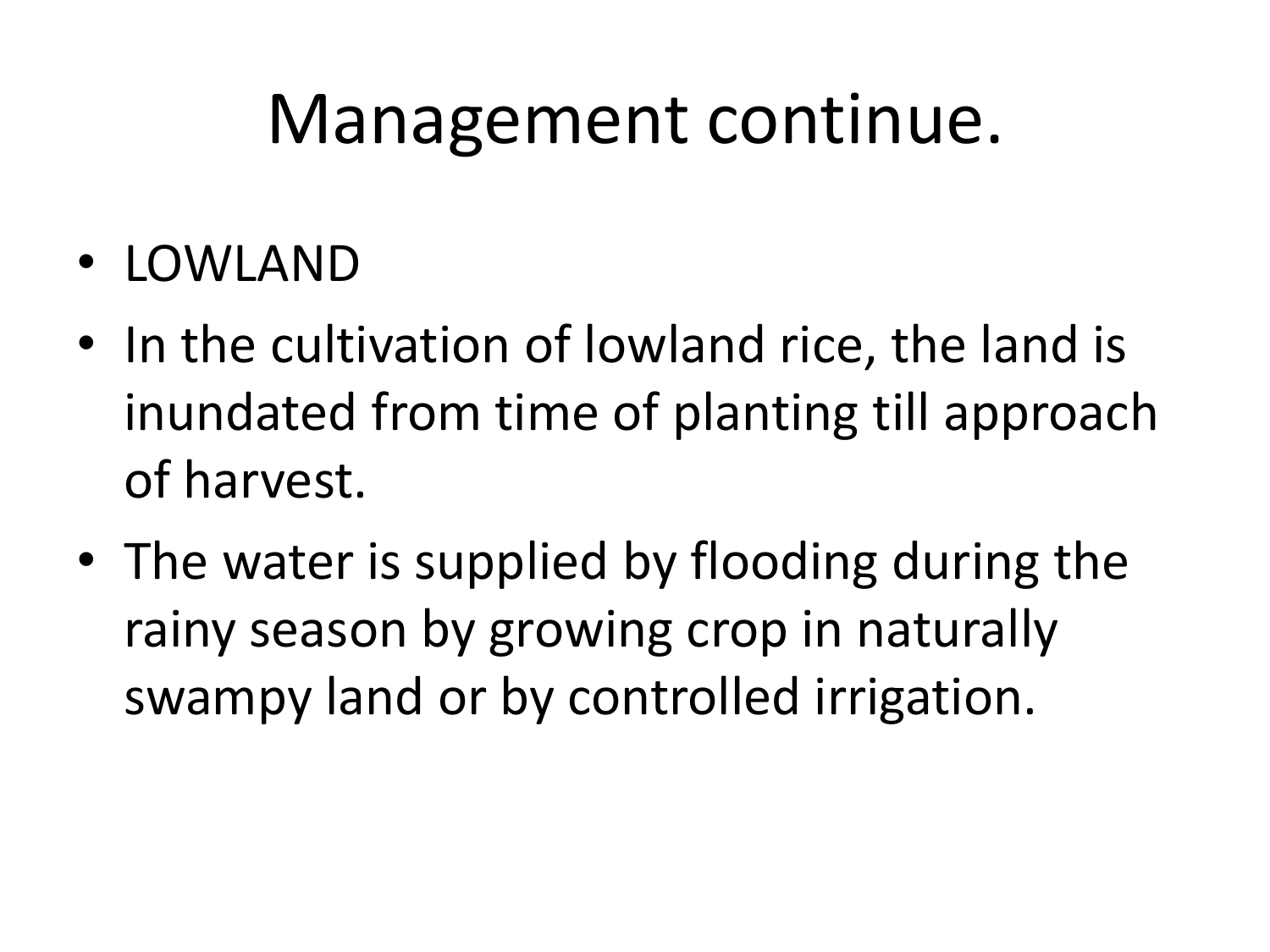#### Management continue.

- LOWLAND
- In the cultivation of lowland rice, the land is inundated from time of planting till approach of harvest.
- The water is supplied by flooding during the rainy season by growing crop in naturally swampy land or by controlled irrigation.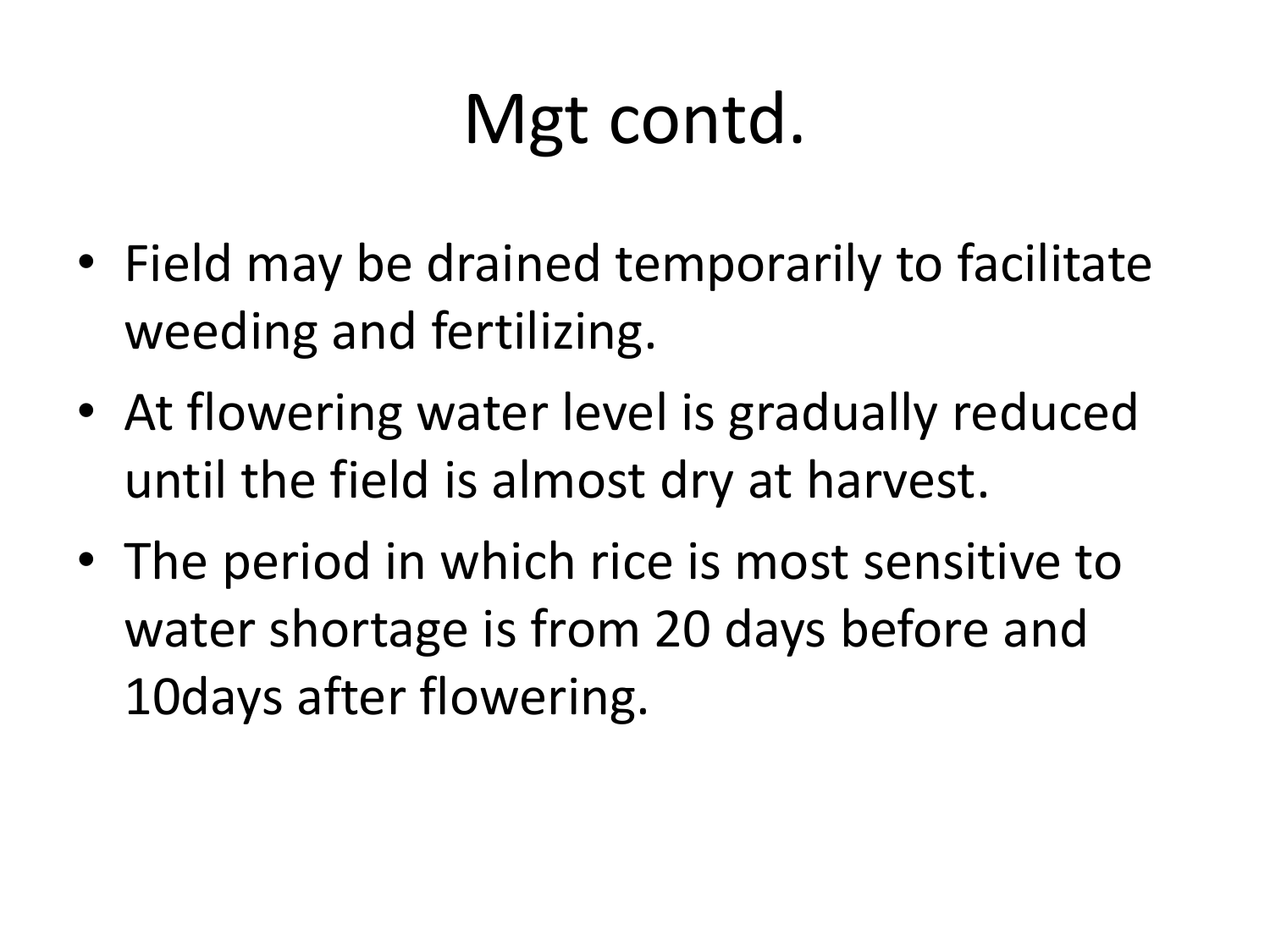### Mgt contd.

- Field may be drained temporarily to facilitate weeding and fertilizing.
- At flowering water level is gradually reduced until the field is almost dry at harvest.
- The period in which rice is most sensitive to water shortage is from 20 days before and 10days after flowering.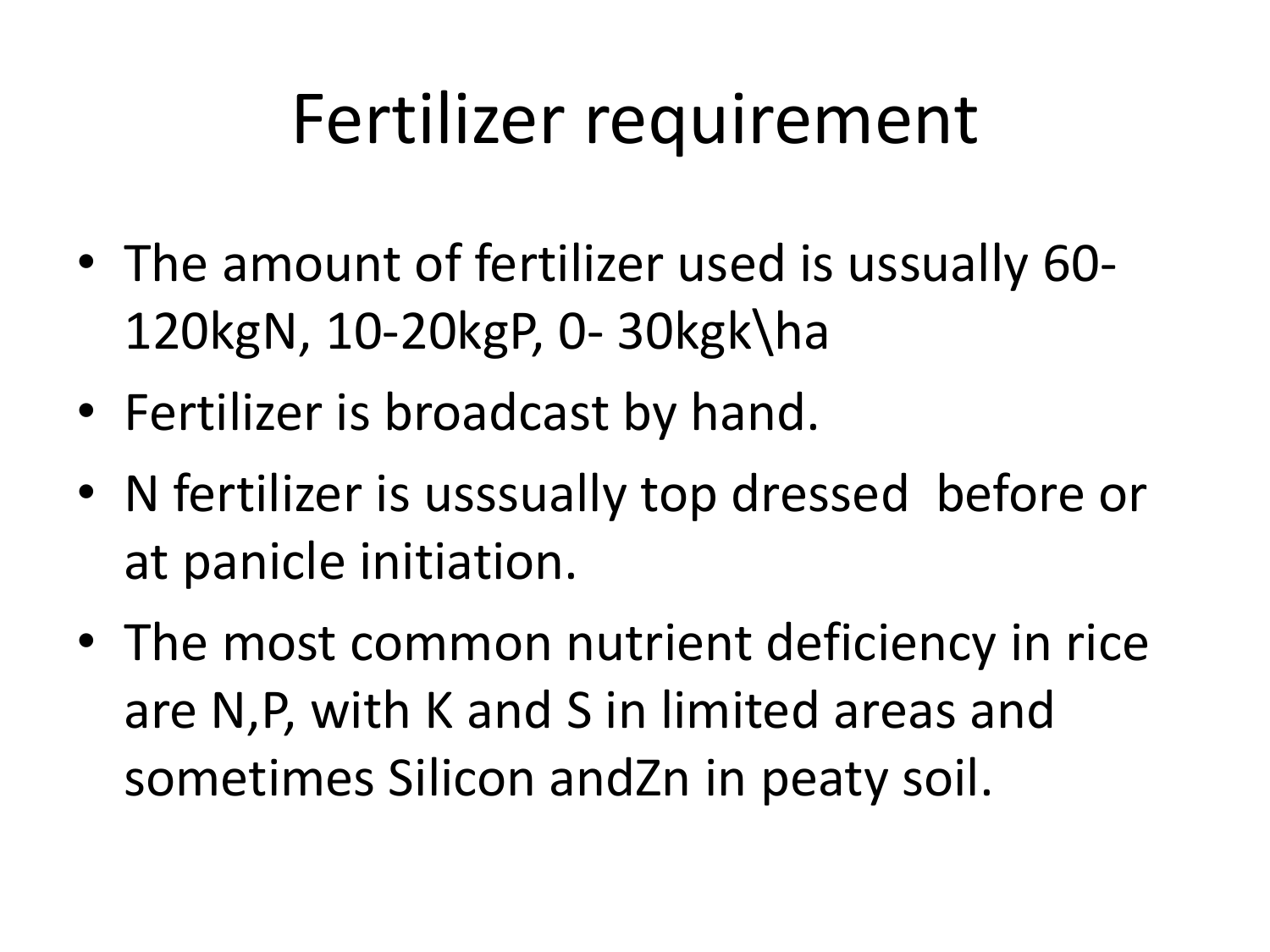#### Fertilizer requirement

- The amount of fertilizer used is ussually 60- 120kgN, 10-20kgP, 0- 30kgk\ha
- Fertilizer is broadcast by hand.
- N fertilizer is usssually top dressed before or at panicle initiation.
- The most common nutrient deficiency in rice are N,P, with K and S in limited areas and sometimes Silicon andZn in peaty soil.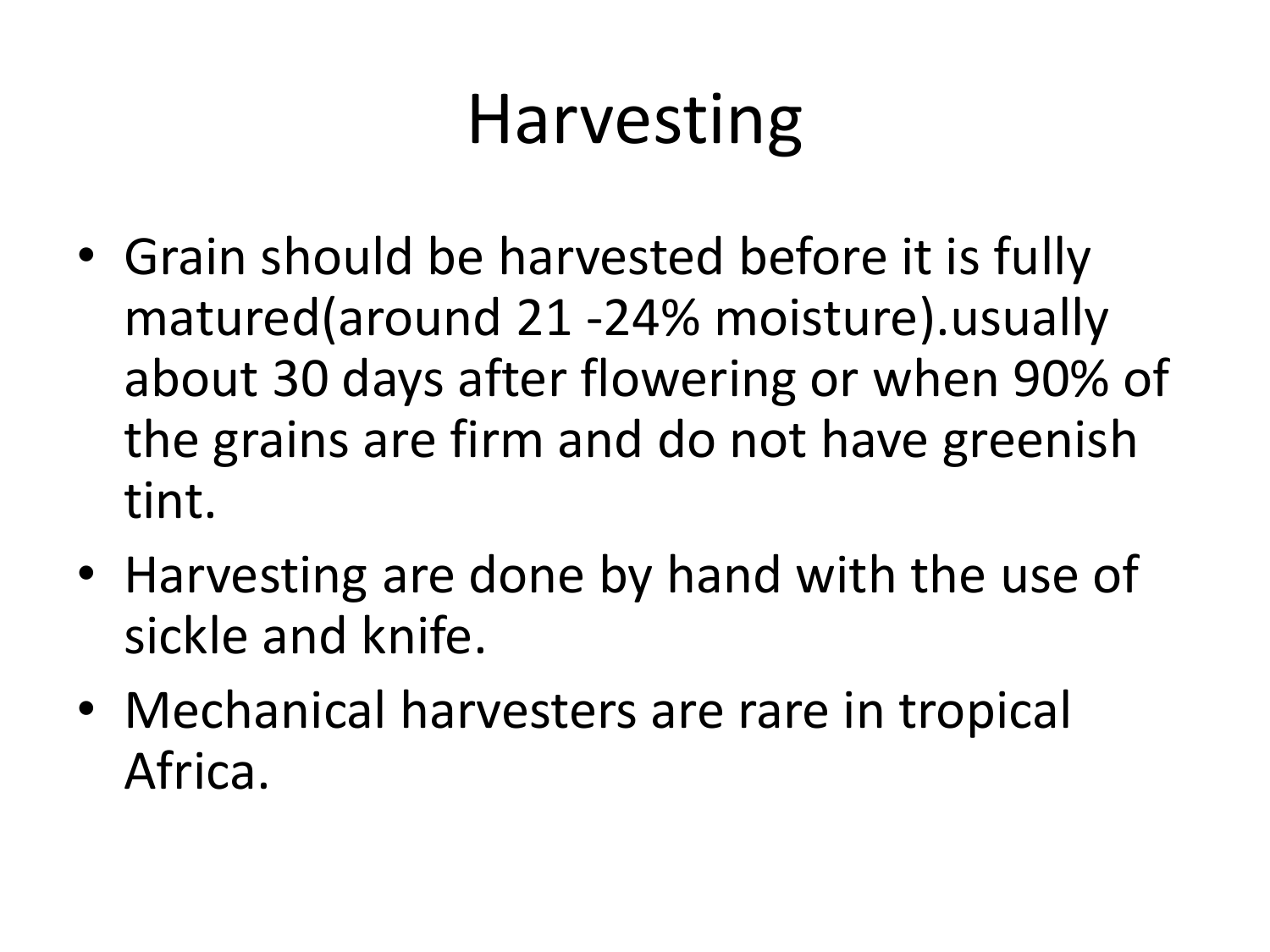#### Harvesting

- Grain should be harvested before it is fully matured(around 21 -24% moisture).usually about 30 days after flowering or when 90% of the grains are firm and do not have greenish tint.
- Harvesting are done by hand with the use of sickle and knife.
- Mechanical harvesters are rare in tropical Africa.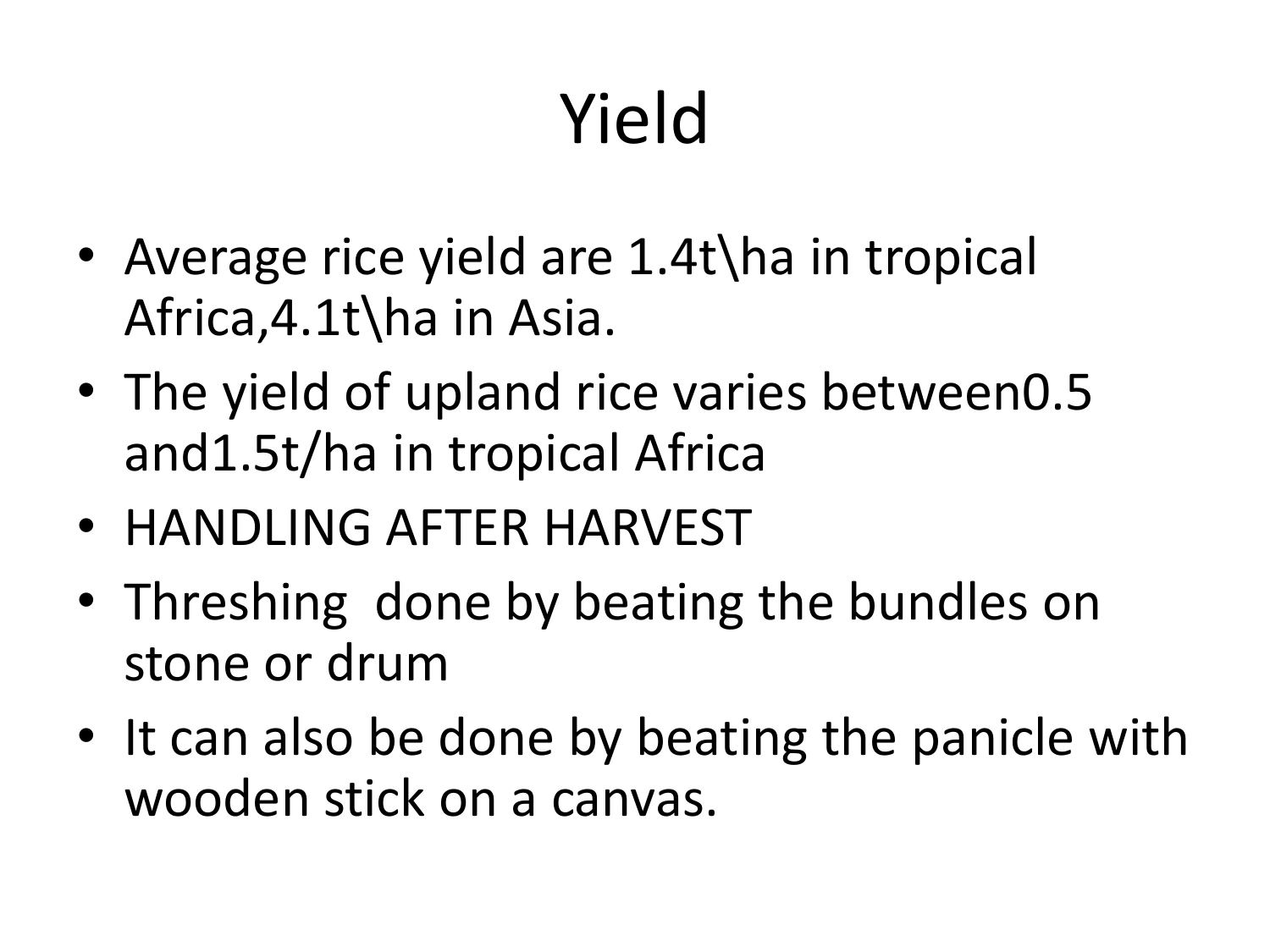# Yield

- Average rice yield are 1.4t\ha in tropical Africa,4.1t\ha in Asia.
- The yield of upland rice varies between 0.5 and1.5t/ha in tropical Africa
- HANDLING AFTER HARVEST
- Threshing done by beating the bundles on stone or drum
- It can also be done by beating the panicle with wooden stick on a canvas.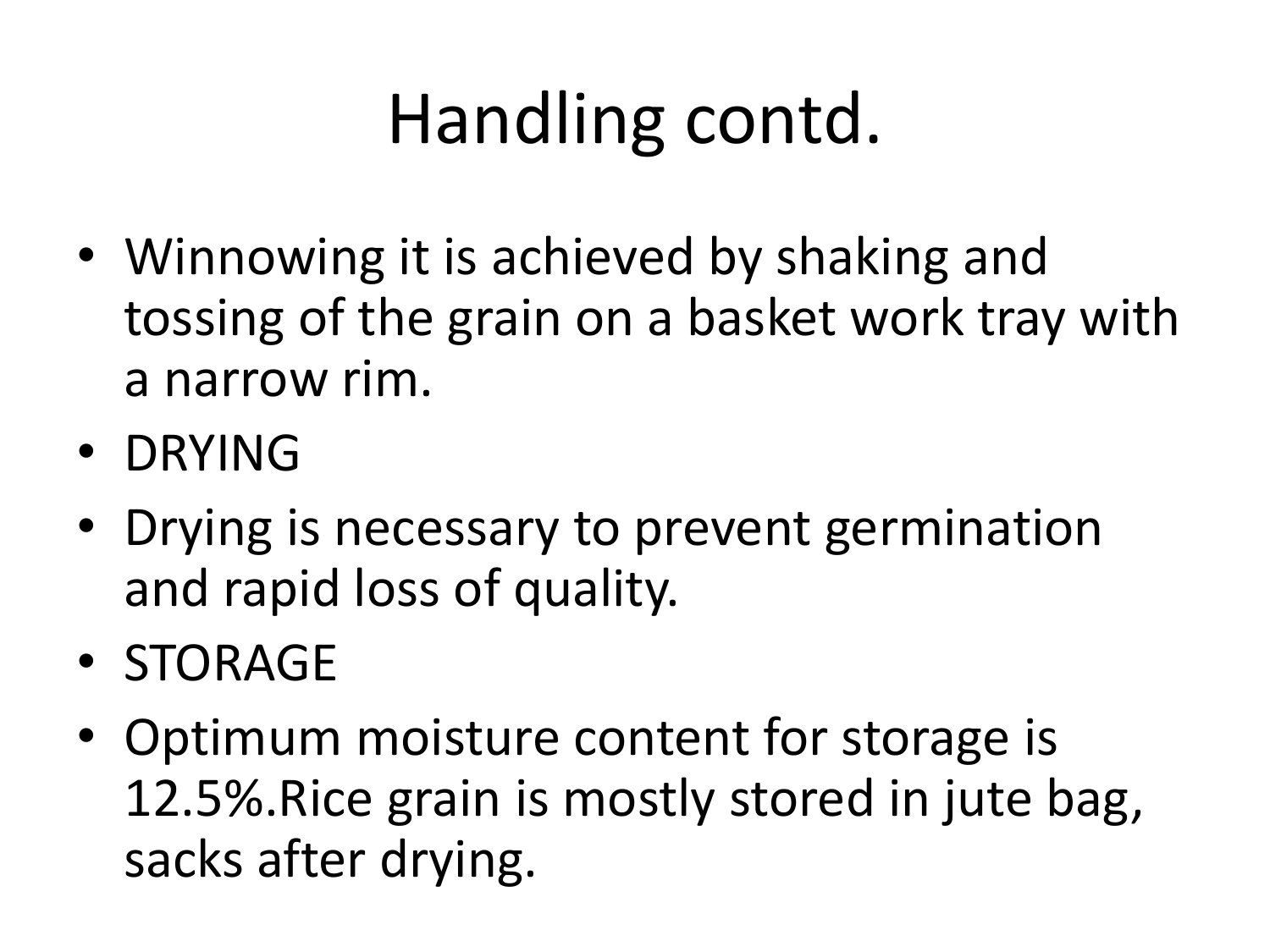## Handling contd.

- Winnowing it is achieved by shaking and tossing of the grain on a basket work tray with a narrow rim.
- DRYING
- Drying is necessary to prevent germination and rapid loss of quality.
- STORAGE
- Optimum moisture content for storage is 12.5%.Rice grain is mostly stored in jute bag, sacks after drying.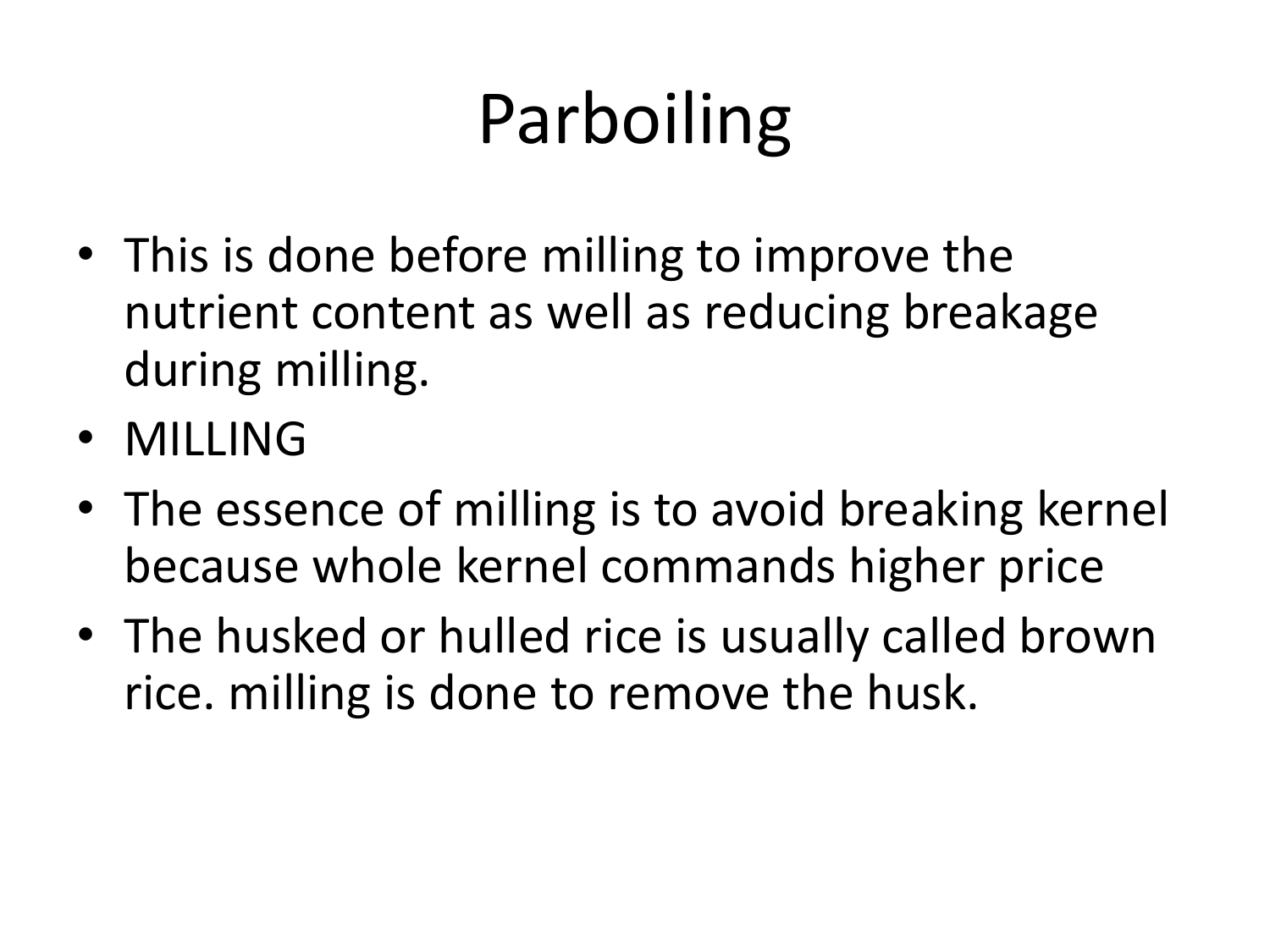# Parboiling

- This is done before milling to improve the nutrient content as well as reducing breakage during milling.
- MILLING
- The essence of milling is to avoid breaking kernel because whole kernel commands higher price
- The husked or hulled rice is usually called brown rice. milling is done to remove the husk.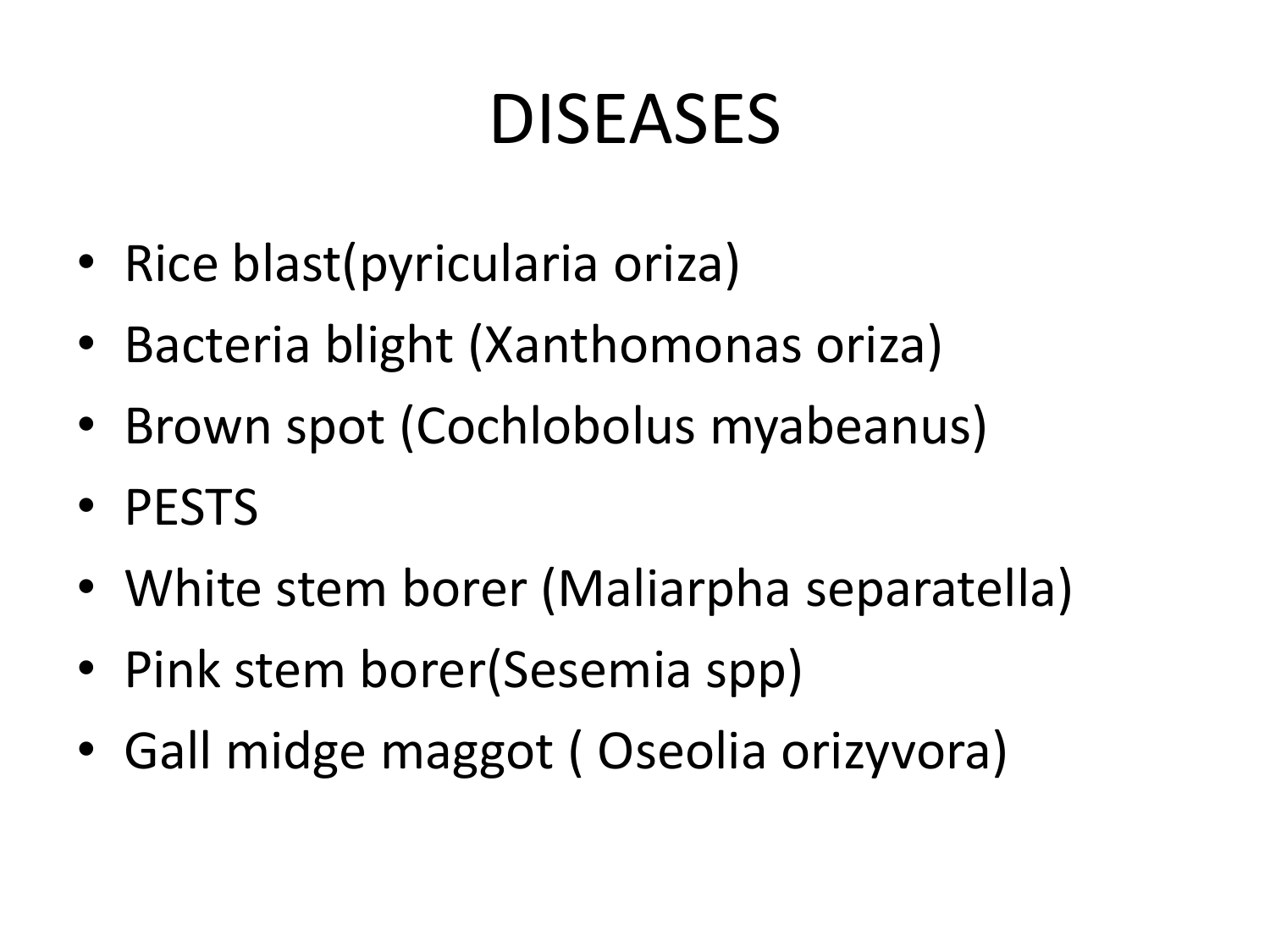#### DISEASES

- Rice blast(pyricularia oriza)
- Bacteria blight (Xanthomonas oriza)
- Brown spot (Cochlobolus myabeanus)
- PESTS
- White stem borer (Maliarpha separatella)
- Pink stem borer(Sesemia spp)
- Gall midge maggot ( Oseolia orizyvora)